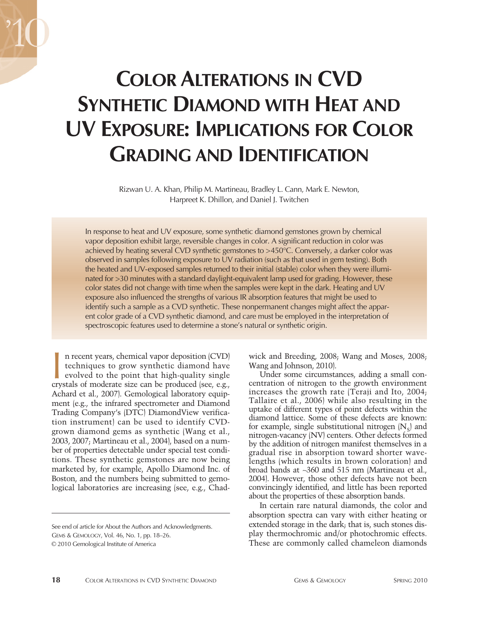# **COLOR ALTERATIONS IN CVD SYNTHETIC DIAMOND WITH HEAT AND UV EXPOSURE: IMPLICATIONS FOR COLOR GRADING AND IDENTIFICATION**

Rizwan U. A. Khan, Philip M. Martineau, Bradley L. Cann, Mark E. Newton, Harpreet K. Dhillon, and Daniel J. Twitchen

In response to heat and UV exposure, some synthetic diamond gemstones grown by chemical vapor deposition exhibit large, reversible changes in color. A significant reduction in color was achieved by heating several CVD synthetic gemstones to >450°C. Conversely, a darker color was observed in samples following exposure to UV radiation (such as that used in gem testing). Both the heated and UV-exposed samples returned to their initial (stable) color when they were illuminated for >30 minutes with a standard daylight-equivalent lamp used for grading. However, these color states did not change with time when the samples were kept in the dark. Heating and UV exposure also influenced the strengths of various IR absorption features that might be used to identify such a sample as a CVD synthetic. These nonpermanent changes might affect the apparent color grade of a CVD synthetic diamond, and care must be employed in the interpretation of spectroscopic features used to determine a stone's natural or synthetic origin.

n recent years, chemical vapor deposition (CVD) techniques to grow synthetic diamond have evolved to the point that high-quality single n recent years, chemical vapor deposition (CVD)<br>techniques to grow synthetic diamond have<br>evolved to the point that high-quality single<br>crystals of moderate size can be produced (see, e.g., Achard et al., 2007). Gemological laboratory equipment (e.g., the infrared spectrometer and Diamond Trading Company's (DTC) DiamondView verification instrument) can be used to identify CVDgrown diamond gems as synthetic (Wang et al., 2003, 2007; Martineau et al., 2004), based on a number of properties detectable under special test conditions. These synthetic gemstones are now being marketed by, for example, Apollo Diamond Inc. of Boston, and the numbers being submitted to gemological laboratories are increasing (see, e.g., Chad-

wick and Breeding, 2008; Wang and Moses, 2008; Wang and Johnson, 2010).

Under some circumstances, adding a small concentration of nitrogen to the growth environment increases the growth rate (Teraji and Ito, 2004; Tallaire et al., 2006) while also resulting in the uptake of different types of point defects within the diamond lattice. Some of these defects are known: for example, single substitutional nitrogen  $[N_s]$  and nitrogen-vacancy (NV) centers. Other defects formed by the addition of nitrogen manifest themselves in a gradual rise in absorption toward shorter wavelengths (which results in brown coloration) and broad bands at ~360 and 515 nm (Martineau et al., 2004). However, those other defects have not been convincingly identified, and little has been reported about the properties of these absorption bands.

In certain rare natural diamonds, the color and absorption spectra can vary with either heating or extended storage in the dark; that is, such stones display thermochromic and/or photochromic effects. These are commonly called chameleon diamonds

See end of article for About the Authors and Acknowledgments. GEMS & GEMOLOGY, Vol. 46, No. 1, pp. 18–26.

<sup>© 2010</sup> Gemological Institute of America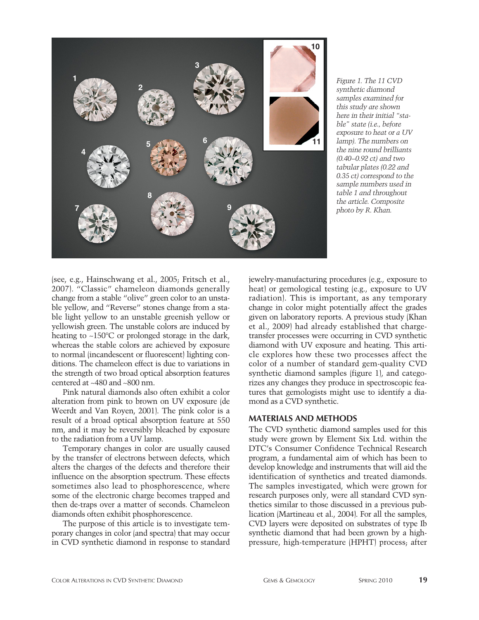

*Figure 1. The 11 CVD synthetic diamond samples examined for this study are shown here in their initial "stable" state (i.e., before exposure to heat or a UV lamp). The numbers on the nine round brilliants (0.40–0.92 ct) and two tabular plates (0.22 and 0.35 ct) correspond to the sample numbers used in table 1 and throughout the article. Composite photo by R. Khan.*

(see, e.g., Hainschwang et al., 2005; Fritsch et al., 2007). "Classic" chameleon diamonds generally change from a stable "olive" green color to an unstable yellow, and "Reverse" stones change from a stable light yellow to an unstable greenish yellow or yellowish green. The unstable colors are induced by heating to ~150°C or prolonged storage in the dark, whereas the stable colors are achieved by exposure to normal (incandescent or fluorescent) lighting conditions. The chameleon effect is due to variations in the strength of two broad optical absorption features centered at ~480 and ~800 nm.

Pink natural diamonds also often exhibit a color alteration from pink to brown on UV exposure (de Weerdt and Van Royen, 2001). The pink color is a result of a broad optical absorption feature at 550 nm, and it may be reversibly bleached by exposure to the radiation from a UV lamp.

Temporary changes in color are usually caused by the transfer of electrons between defects, which alters the charges of the defects and therefore their influence on the absorption spectrum. These effects sometimes also lead to phosphorescence, where some of the electronic charge becomes trapped and then de-traps over a matter of seconds. Chameleon diamonds often exhibit phosphorescence.

The purpose of this article is to investigate temporary changes in color (and spectra) that may occur in CVD synthetic diamond in response to standard

jewelry-manufacturing procedures (e.g., exposure to heat) or gemological testing (e.g., exposure to UV radiation). This is important, as any temporary change in color might potentially affect the grades given on laboratory reports. A previous study (Khan et al., 2009) had already established that chargetransfer processes were occurring in CVD synthetic diamond with UV exposure and heating. This article explores how these two processes affect the color of a number of standard gem-quality CVD synthetic diamond samples (figure 1), and categorizes any changes they produce in spectroscopic features that gemologists might use to identify a diamond as a CVD synthetic.

### **MATERIALS AND METHODS**

The CVD synthetic diamond samples used for this study were grown by Element Six Ltd. within the DTC's Consumer Confidence Technical Research program, a fundamental aim of which has been to develop knowledge and instruments that will aid the identification of synthetics and treated diamonds. The samples investigated, which were grown for research purposes only, were all standard CVD synthetics similar to those discussed in a previous publication (Martineau et al., 2004). For all the samples, CVD layers were deposited on substrates of type Ib synthetic diamond that had been grown by a highpressure, high-temperature (HPHT) process; after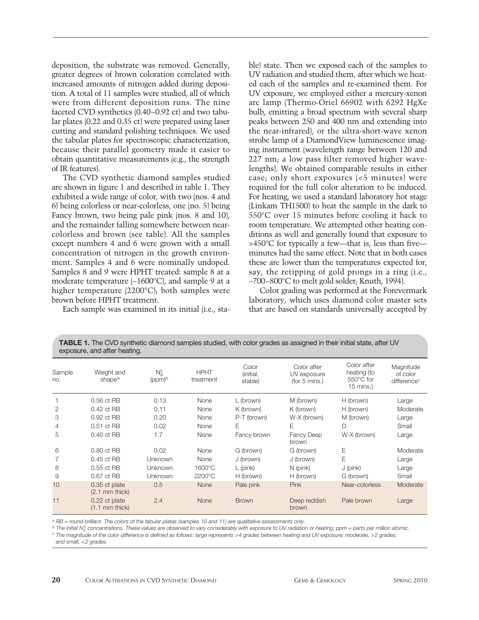deposition, the substrate was removed. Generally, greater degrees of brown coloration correlated with increased amounts of nitrogen added during deposition. A total of 11 samples were studied, all of which were from different deposition runs. The nine faceted CVD synthetics (0.40–0.92 ct) and two tabular plates (0.22 and 0.35 ct) were prepared using laser cutting and standard polishing techniques. We used the tabular plates for spectroscopic characterization, because their parallel geometry made it easier to obtain quantitative measurements (e.g., the strength of IR features).

The CVD synthetic diamond samples studied are shown in figure 1 and described in table 1. They exhibited a wide range of color, with two (nos. 4 and 6) being colorless or near-colorless, one (no. 5) being Fancy brown, two being pale pink (nos. 8 and 10), and the remainder falling somewhere between nearcolorless and brown (see table). All the samples except numbers 4 and 6 were grown with a small concentration of nitrogen in the growth environment. Samples 4 and 6 were nominally undoped. Samples 8 and 9 were HPHT treated: sample 8 at a moderate temperature (~1600°C), and sample 9 at a higher temperature (2200°C); both samples were brown before HPHT treatment.

Each sample was examined in its initial (i.e., sta-

ble) state. Then we exposed each of the samples to UV radiation and studied them, after which we heated each of the samples and re-examined them. For UV exposure, we employed either a mercury-xenon arc lamp (Thermo-Oriel 66902 with 6292 HgXe bulb, emitting a broad spectrum with several sharp peaks between 250 and 400 nm and extending into the near-infrared), or the ultra-short-wave xenon strobe lamp of a DiamondView luminescence imaging instrument (wavelength range between 120 and 227 nm; a low pass filter removed higher wavelengths). We obtained comparable results in either case; only short exposures (<5 minutes) were required for the full color alteration to be induced. For heating, we used a standard laboratory hot stage (Linkam TH1500) to heat the sample in the dark to 550°C over 15 minutes before cooling it back to room temperature. We attempted other heating conditions as well and generally found that exposure to >450°C for typically a few—that is, less than five minutes had the same effect. Note that in both cases these are lower than the temperatures expected for, say, the retipping of gold prongs in a ring (i.e., ~700–800°C to melt gold solder; Knuth, 1994).

Color grading was performed at the Forevermark laboratory, which uses diamond color master sets that are based on standards universally accepted by

| exposure, and arter rieating. |                                   |                      |                          |                               |                                             |                                                        |                                                  |
|-------------------------------|-----------------------------------|----------------------|--------------------------|-------------------------------|---------------------------------------------|--------------------------------------------------------|--------------------------------------------------|
| Sample<br>no.                 | Weight and<br>shape <sup>a</sup>  | $N_S^0$<br>$(ppm)^b$ | <b>HPHT</b><br>treatment | Color<br>(initial,<br>stable) | Color after<br>UV exposure<br>(for 5 mins.) | Color after<br>heating (to<br>550°C for<br>$15$ mins.) | Magnitude<br>of color<br>difference <sup>c</sup> |
|                               | 0.56 ct RB                        | 0.13                 | None                     | L (brown)                     | M (brown)                                   | H (brown)                                              | Large                                            |
| 2                             | 0.42 ct RB                        | 0.11                 | None                     | K (brown)                     | K (brown)                                   | H (brown)                                              | Moderate                                         |
| 3                             | 0.92 ct RB                        | 0.20                 | None                     | P-T (brown)                   | W-X (brown)                                 | M (brown)                                              | Large                                            |
| 4                             | 0.51 ct RB                        | 0.02                 | None                     | Ε                             | E                                           | D                                                      | Small                                            |
| 5                             | 0.40 ct RB                        | 1.7                  | None                     | Fancy brown                   | <b>Fancy Deep</b><br>brown                  | W-X (brown)                                            | Large                                            |
| 6                             | 0.80 ct RB                        | 0.02                 | None                     | G (brown)                     | G (brown)                                   | Е                                                      | Moderate                                         |
|                               | 0.45 ct RB                        | <b>Unknown</b>       | None                     | J (brown)                     | J (brown)                                   | E                                                      | Large                                            |
| 8                             | 0.55 ct RB                        | Unknown              | 1600°C                   | $L$ (pink)                    | $N$ (pink)                                  | $J$ (pink)                                             | Large                                            |
| 9                             | 0.67 ct RB                        | <b>Unknown</b>       | 2200°C                   | H (brown)                     | H (brown)                                   | G (brown)                                              | Small                                            |
| 10                            | 0.35 ct plate<br>$(2.1$ mm thick) | 0.5                  | <b>None</b>              | Pale pink                     | <b>Pink</b>                                 | Near-colorless                                         | Moderate                                         |
| 11                            | 0.22 ct plate<br>$(1.1$ mm thick) | 2.4                  | None                     | <b>Brown</b>                  | Deep reddish<br>brown                       | Pale brown                                             | Large                                            |

**TABLE 1.** The CVD synthetic diamond samples studied, with color grades as assigned in their initial state, after UV exposure, and after heating.

*<sup>a</sup> RB = round brilliant. The colors of the tabular plates (samples 10 and 11) are qualitative assessments only.*

*<sup>b</sup> The initial NS <sup>0</sup> concentrations. These values are observed to vary considerably with exposure to UV radiation or heating; ppm = parts per million atomic.*

*<sup>c</sup> The magnitude of the color difference is defined as follows: large represents >4 grades between heating and UV exposure; moderate, >2 grades;* 

*and small, <2 grades.*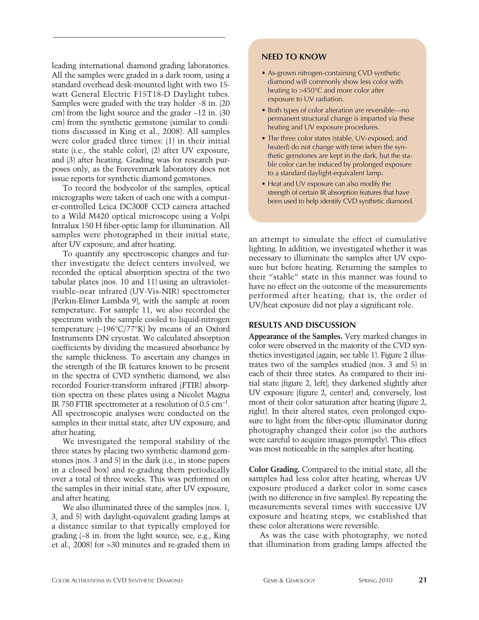leading international diamond grading laboratories. All the samples were graded in a dark room, using a standard overhead desk-mounted light with two 15 watt General Electric F15T18-D Daylight tubes. Samples were graded with the tray holder ~8 in. (20) cm) from the light source and the grader ~12 in. (30 cm) from the synthetic gemstone (similar to conditions discussed in King et al., 2008). All samples were color graded three times: (1) in their initial state (i.e., the stable color), (2) after UV exposure, and (3) after heating. Grading was for research purposes only, as the Forevermark laboratory does not issue reports for synthetic diamond gemstones.

To record the bodycolor of the samples, optical micrographs were taken of each one with a computer-controlled Leica DC300F CCD camera attached to a Wild M420 optical microscope using a Volpi Intralux 150 H fiber-optic lamp for illumination. All samples were photographed in their initial state, after UV exposure, and after heating.

To quantify any spectroscopic changes and further investigate the defect centers involved, we recorded the optical absorption spectra of the two tabular plates (nos. 10 and 11) using an ultravioletvisible–near infrared (UV-Vis-NIR) spectrometer (Perkin-Elmer Lambda 9), with the sample at room temperature. For sample 11, we also recorded the spectrum with the sample cooled to liquid-nitrogen temperature (–196°C/77°K) by means of an Oxford Instruments DN cryostat. We calculated absorption coefficients by dividing the measured absorbance by the sample thickness. To ascertain any changes in the strength of the IR features known to be present in the spectra of CVD synthetic diamond, we also recorded Fourier-transform infrared (FTIR) absorption spectra on these plates using a Nicolet Magna IR 750 FTIR spectrometer at a resolution of 0.5 cm<sup>−</sup>1. All spectroscopic analyses were conducted on the samples in their initial state, after UV exposure, and after heating.

We investigated the temporal stability of the three states by placing two synthetic diamond gemstones (nos. 3 and 5) in the dark (i.e., in stone papers in a closed box) and re-grading them periodically over a total of three weeks. This was performed on the samples in their initial state, after UV exposure, and after heating.

We also illuminated three of the samples (nos. 1, 3, and 5) with daylight-equivalent grading lamps at a distance similar to that typically employed for grading (~8 in. from the light source; see, e.g., King et al., 2008) for >30 minutes and re-graded them in

## **NEED TO KNOW**

- As-grown nitrogen-containing CVD synthetic diamond will commonly show less color with heating to >450°C and more color after exposure to UV radiation.
- Both types of color alteration are reversible—no permanent structural change is imparted via these heating and UV exposure procedures.
- The three color states (stable, UV-exposed, and heated) do not change with time when the synthetic gemstones are kept in the dark, but the stable color can be induced by prolonged exposure to a standard daylight-equivalent lamp.
- Heat and UV exposure can also modify the strength of certain IR absorption features that have been used to help identify CVD synthetic diamond.

an attempt to simulate the effect of cumulative lighting. In addition, we investigated whether it was necessary to illuminate the samples after UV exposure but before heating. Returning the samples to their "stable" state in this manner was found to have no effect on the outcome of the measurements performed after heating; that is, the order of UV/heat exposure did not play a significant role.

# **RESULTS AND DISCUSSION**

**Appearance of the Samples.** Very marked changes in color were observed in the majority of the CVD synthetics investigated (again, see table 1). Figure 2 illustrates two of the samples studied (nos. 3 and 5) in each of their three states. As compared to their initial state (figure 2, left), they darkened slightly after UV exposure (figure 2, center) and, conversely, lost most of their color saturation after heating (figure 2, right). In their altered states, even prolonged exposure to light from the fiber-optic illuminator during photography changed their color (so the authors were careful to acquire images promptly). This effect was most noticeable in the samples after heating.

**Color Grading.** Compared to the initial state, all the samples had less color after heating, whereas UV exposure produced a darker color in some cases (with no difference in five samples). By repeating the measurements several times with successive UV exposure and heating steps, we established that these color alterations were reversible.

As was the case with photography, we noted that illumination from grading lamps affected the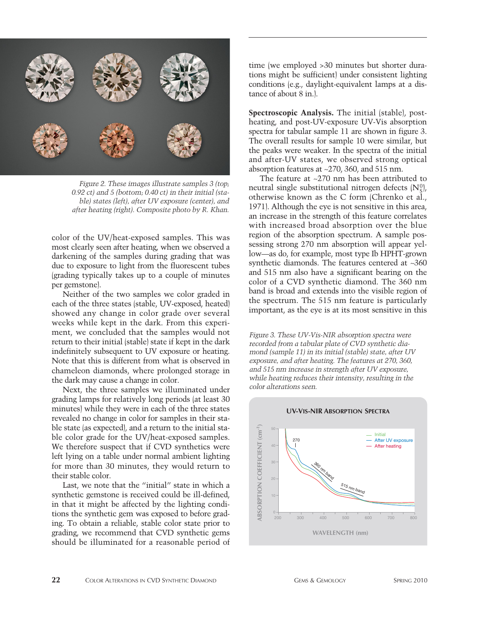

*Figure 2. These images illustrate samples 3 (top; 0.92 ct) and 5 (bottom; 0.40 ct) in their initial (stable) states (left), after UV exposure (center), and after heating (right). Composite photo by R. Khan.* 

color of the UV/heat-exposed samples. This was most clearly seen after heating, when we observed a darkening of the samples during grading that was due to exposure to light from the fluorescent tubes (grading typically takes up to a couple of minutes per gemstone).

Neither of the two samples we color graded in each of the three states (stable, UV-exposed, heated) showed any change in color grade over several weeks while kept in the dark. From this experiment, we concluded that the samples would not return to their initial (stable) state if kept in the dark indefinitely subsequent to UV exposure or heating. Note that this is different from what is observed in chameleon diamonds, where prolonged storage in the dark may cause a change in color.

Next, the three samples we illuminated under grading lamps for relatively long periods (at least 30 minutes) while they were in each of the three states revealed no change in color for samples in their stable state (as expected), and a return to the initial stable color grade for the UV/heat-exposed samples. We therefore suspect that if CVD synthetics were left lying on a table under normal ambient lighting for more than 30 minutes, they would return to their stable color.

Last, we note that the "initial" state in which a synthetic gemstone is received could be ill-defined, in that it might be affected by the lighting conditions the synthetic gem was exposed to before grading. To obtain a reliable, stable color state prior to grading, we recommend that CVD synthetic gems should be illuminated for a reasonable period of time (we employed >30 minutes but shorter durations might be sufficient) under consistent lighting conditions (e.g., daylight-equivalent lamps at a distance of about 8 in.).

**Spectroscopic Analysis.** The initial (stable), postheating, and post-UV-exposure UV-Vis absorption spectra for tabular sample 11 are shown in figure 3. The overall results for sample 10 were similar, but the peaks were weaker. In the spectra of the initial and after-UV states, we observed strong optical absorption features at ~270, 360, and 515 nm.

The feature at ~270 nm has been attributed to neutral single substitutional nitrogen defects  $\rm (N_S^0)$ , otherwise known as the C form (Chrenko et al., 1971). Although the eye is not sensitive in this area, an increase in the strength of this feature correlates with increased broad absorption over the blue region of the absorption spectrum. A sample possessing strong 270 nm absorption will appear yellow—as do, for example, most type Ib HPHT-grown synthetic diamonds. The features centered at ~360 and 515 nm also have a significant bearing on the color of a CVD synthetic diamond. The 360 nm band is broad and extends into the visible region of the spectrum. The 515 nm feature is particularly important, as the eye is at its most sensitive in this

*Figure 3. These UV-Vis-NIR absorption spectra were recorded from a tabular plate of CVD synthetic diamond (sample 11) in its initial (stable) state, after UV exposure, and after heating. The features at 270, 360, and 515 nm increase in strength after UV exposure, while heating reduces their intensity, resulting in the color alterations seen.* 



### **UV-VIS-NIR ABSORPTION SPECTRA**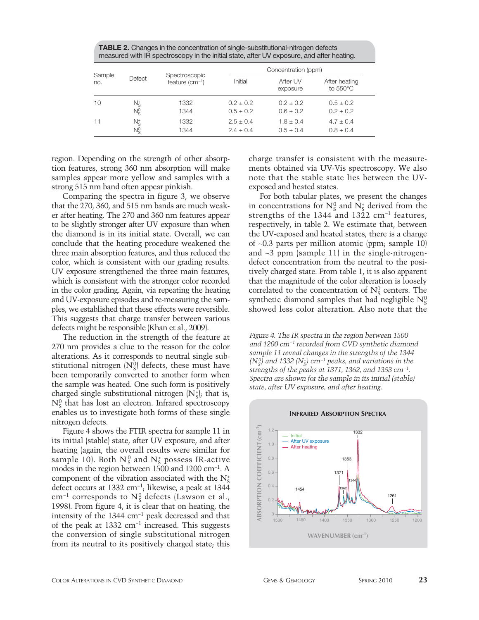**TABLE 2.** Changes in the concentration of single-substitutional-nitrogen defects measured with IR spectroscopy in the initial state, after UV exposure, and after heating.

| Sample |         | Spectroscopic    | Concentration (ppm) |                      |                                     |  |
|--------|---------|------------------|---------------------|----------------------|-------------------------------------|--|
| no.    | Defect  | feature $(cm-1)$ | Initial             | After UV<br>exposure | After heating<br>to $550^{\circ}$ C |  |
| 10     | N÷      | 1332             | $0.2 + 0.2$         | $0.2 + 0.2$          | $0.5 \pm 0.2$                       |  |
|        | $N_S^0$ | 1344             | $0.5 \pm 0.2$       | $0.6 \pm 0.2$        | $0.2 + 0.2$                         |  |
| 11     | N÷      | 1332             | $2.5 \pm 0.4$       | $1.8 \pm 0.4$        | $4.7 \pm 0.4$                       |  |
|        | Nº      | 1344             | $2.4 \pm 0.4$       | $3.5 \pm 0.4$        | $0.8 \pm 0.4$                       |  |

region. Depending on the strength of other absorption features, strong 360 nm absorption will make samples appear more yellow and samples with a strong 515 nm band often appear pinkish.

Comparing the spectra in figure 3, we observe that the 270, 360, and 515 nm bands are much weaker after heating. The 270 and 360 nm features appear to be slightly stronger after UV exposure than when the diamond is in its initial state. Overall, we can conclude that the heating procedure weakened the three main absorption features, and thus reduced the color, which is consistent with our grading results. UV exposure strengthened the three main features, which is consistent with the stronger color recorded in the color grading. Again, via repeating the heating and UV-exposure episodes and re-measuring the samples, we established that these effects were reversible. This suggests that charge transfer between various defects might be responsible (Khan et al., 2009).

The reduction in the strength of the feature at 270 nm provides a clue to the reason for the color alterations. As it corresponds to neutral single substitutional nitrogen  $\text{[N]}_{\text{S}}$  defects, these must have been temporarily converted to another form when the sample was heated. One such form is positively charged single substitutional nitrogen  $(N_s^{\dagger})$ ; that is,  $\mathrm{N^0_S}$  that has lost an electron. Infrared spectroscopy enables us to investigate both forms of these single nitrogen defects.

Figure 4 shows the FTIR spectra for sample 11 in its initial (stable) state, after UV exposure, and after heating (again, the overall results were similar for sample 10). Both  $N_S^0$  and  $N_S^+$  possess IR-active modes in the region between 1500 and 1200 cm<sup>−</sup>1. A component of the vibration associated with the  $N_S^+$ defect occurs at 1332 cm<sup>−</sup>1; likewise, a peak at 1344  $\text{cm}^{-1}$  corresponds to  $\text{N}_\text{S}^0$  defects (Lawson et al., 1998). From figure 4, it is clear that on heating, the intensity of the 1344 cm<sup>−</sup><sup>1</sup> peak decreased and that of the peak at 1332 cm<sup>−</sup><sup>1</sup> increased. This suggests the conversion of single substitutional nitrogen from its neutral to its positively charged state; this charge transfer is consistent with the measurements obtained via UV-Vis spectroscopy. We also note that the stable state lies between the UVexposed and heated states.

For both tabular plates, we present the changes in concentrations for  $N_S^0$  and  $N_S^+$  derived from the strengths of the 1344 and 1322 cm<sup>−</sup><sup>1</sup> features, respectively, in table 2. We estimate that, between the UV-exposed and heated states, there is a change of ~0.3 parts per million atomic (ppm; sample 10) and ~3 ppm (sample 11) in the single-nitrogendefect concentration from the neutral to the positively charged state. From table 1, it is also apparent that the magnitude of the color alteration is loosely correlated to the concentration of  $N_S^0$  centers. The synthetic diamond samples that had negligible  $N_S^0$ showed less color alteration. Also note that the

*Figure 4. The IR spectra in the region between 1500 and 1200 cm*<sup>−</sup>*<sup>1</sup> recorded from CVD synthetic diamond sample 11 reveal changes in the strengths of the 1344 (N<sub>S</sub><sup>0</sup>)* and 1332 *(N<sub>S</sub>*<sup>+</sup>) cm<sup>−1</sup> *peaks, and variations in the strengths of the peaks at 1371, 1362, and 1353 cm*<sup>−</sup>*1. Spectra are shown for the sample in its initial (stable) state, after UV exposure, and after heating.* 



# **INFRARED ABSORPTION SPECTRA**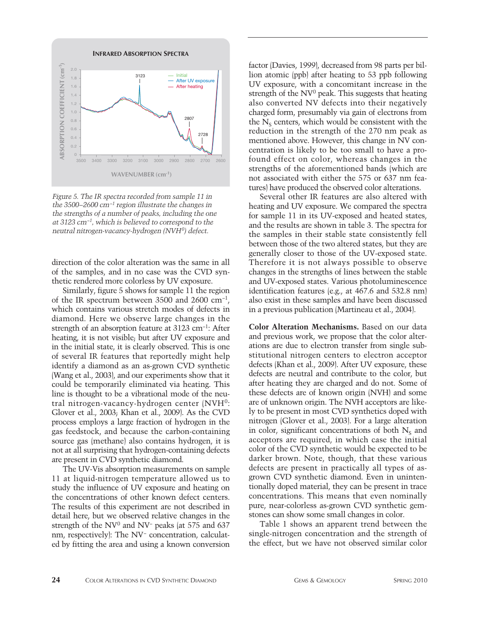

*Figure 5. The IR spectra recorded from sample 11 in the 3500–2600 cm*<sup>−</sup>*<sup>1</sup> region illustrate the changes in the strengths of a number of peaks, including the one at 3123 cm*<sup>−</sup>*1, which is believed to correspond to the neutral nitrogen-vacancy-hydrogen (NVH0) defect.* 

direction of the color alteration was the same in all of the samples, and in no case was the CVD synthetic rendered more colorless by UV exposure.

Similarly, figure 5 shows for sample 11 the region of the IR spectrum between 3500 and 2600 cm<sup>−</sup>1, which contains various stretch modes of defects in diamond. Here we observe large changes in the strength of an absorption feature at 3123 cm<sup>−</sup>1: After heating, it is not visible; but after UV exposure and in the initial state, it is clearly observed. This is one of several IR features that reportedly might help identify a diamond as an as-grown CVD synthetic (Wang et al., 2003), and our experiments show that it could be temporarily eliminated via heating. This line is thought to be a vibrational mode of the neutral nitrogen-vacancy-hydrogen center (NVH0: Glover et al., 2003; Khan et al., 2009). As the CVD process employs a large fraction of hydrogen in the gas feedstock, and because the carbon-containing source gas (methane) also contains hydrogen, it is not at all surprising that hydrogen-containing defects are present in CVD synthetic diamond.

The UV-Vis absorption measurements on sample 11 at liquid-nitrogen temperature allowed us to study the influence of UV exposure and heating on the concentrations of other known defect centers. The results of this experiment are not described in detail here, but we observed relative changes in the strength of the NV<sup>0</sup> and NV<sup>-</sup> peaks (at 575 and 637 nm, respectively): The NV<sup>−</sup> concentration, calculated by fitting the area and using a known conversion

factor (Davies, 1999), decreased from 98 parts per billion atomic (ppb) after heating to 53 ppb following UV exposure, with a concomitant increase in the strength of the  $NV<sup>0</sup>$  peak. This suggests that heating also converted NV defects into their negatively charged form, presumably via gain of electrons from the  $N<sub>s</sub>$  centers, which would be consistent with the reduction in the strength of the 270 nm peak as mentioned above. However, this change in NV concentration is likely to be too small to have a profound effect on color, whereas changes in the strengths of the aforementioned bands (which are not associated with either the 575 or 637 nm features) have produced the observed color alterations.

Several other IR features are also altered with heating and UV exposure. We compared the spectra for sample 11 in its UV-exposed and heated states, and the results are shown in table 3. The spectra for the samples in their stable state consistently fell between those of the two altered states, but they are generally closer to those of the UV-exposed state. Therefore it is not always possible to observe changes in the strengths of lines between the stable and UV-exposed states. Various photoluminescence identification features (e.g., at 467.6 and 532.8 nm) also exist in these samples and have been discussed in a previous publication (Martineau et al., 2004).

**Color Alteration Mechanisms.** Based on our data and previous work, we propose that the color alterations are due to electron transfer from single substitutional nitrogen centers to electron acceptor defects (Khan et al., 2009). After UV exposure, these defects are neutral and contribute to the color, but after heating they are charged and do not. Some of these defects are of known origin (NVH) and some are of unknown origin. The NVH acceptors are likely to be present in most CVD synthetics doped with nitrogen (Glover et al., 2003). For a large alteration in color, significant concentrations of both  $N_s$  and acceptors are required, in which case the initial color of the CVD synthetic would be expected to be darker brown. Note, though, that these various defects are present in practically all types of asgrown CVD synthetic diamond. Even in unintentionally doped material, they can be present in trace concentrations. This means that even nominally pure, near-colorless as-grown CVD synthetic gemstones can show some small changes in color.

Table 1 shows an apparent trend between the single-nitrogen concentration and the strength of the effect, but we have not observed similar color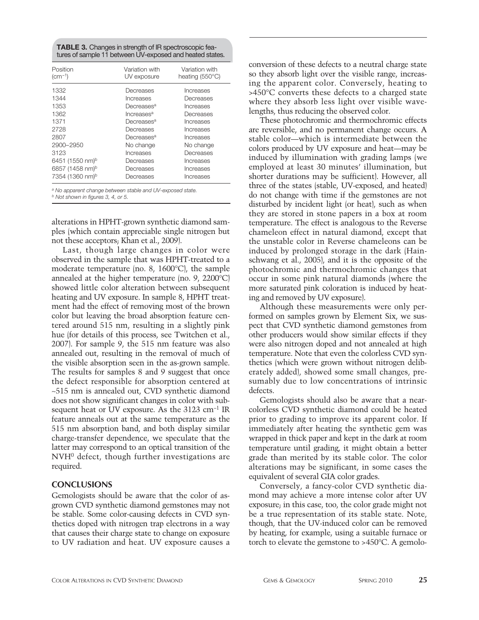**TABLE 3.** Changes in strength of IR spectroscopic features of sample 11 between UV-exposed and heated states.

| Position                    | Variation with         | Variation with           |
|-----------------------------|------------------------|--------------------------|
| $(cm-1)$                    | UV exposure            | heating $(550^{\circ}C)$ |
|                             |                        |                          |
| 1332                        | Decreases              | Increases                |
| 1344                        | Increases              | Decreases                |
| 1353                        | Decreases <sup>a</sup> | Increases                |
| 1362                        | Increases <sup>a</sup> | Decreases                |
| 1371                        | Decreases <sup>a</sup> | Increases                |
| 2728                        | Decreases              | Increases                |
| 2807                        | Decreases <sup>a</sup> | Increases                |
| 2900-2950                   | No change              | No change                |
| 3123                        | Increases              | Decreases                |
| 6451 (1550 nm) <sup>b</sup> | Decreases              | Increases                |
| 6857 (1458 nm) <sup>b</sup> | Decreases              | Increases                |
| 7354 (1360 nm) <sup>b</sup> | Decreases              | Increases                |
|                             |                        |                          |

*<sup>a</sup> No apparent change between stable and UV-exposed state. <sup>b</sup> Not shown in figures 3, 4, or 5.* 

alterations in HPHT-grown synthetic diamond samples (which contain appreciable single nitrogen but not these acceptors; Khan et al., 2009).

Last, though large changes in color were observed in the sample that was HPHT-treated to a moderate temperature (no. 8, 1600°C), the sample annealed at the higher temperature (no. 9, 2200°C) showed little color alteration between subsequent heating and UV exposure. In sample 8, HPHT treatment had the effect of removing most of the brown color but leaving the broad absorption feature centered around 515 nm, resulting in a slightly pink hue (for details of this process, see Twitchen et al., 2007). For sample 9, the 515 nm feature was also annealed out, resulting in the removal of much of the visible absorption seen in the as-grown sample. The results for samples 8 and 9 suggest that once the defect responsible for absorption centered at ~515 nm is annealed out, CVD synthetic diamond does not show significant changes in color with subsequent heat or UV exposure. As the 3123 cm<sup>-1</sup> IR feature anneals out at the same temperature as the 515 nm absorption band, and both display similar charge-transfer dependence, we speculate that the latter may correspond to an optical transition of the  $NWH<sup>0</sup>$  defect, though further investigations are required.

### **CONCLUSIONS**

Gemologists should be aware that the color of asgrown CVD synthetic diamond gemstones may not be stable. Some color-causing defects in CVD synthetics doped with nitrogen trap electrons in a way that causes their charge state to change on exposure to UV radiation and heat. UV exposure causes a

conversion of these defects to a neutral charge state so they absorb light over the visible range, increasing the apparent color. Conversely, heating to >450°C converts these defects to a charged state where they absorb less light over visible wavelengths, thus reducing the observed color.

These photochromic and thermochromic effects are reversible, and no permanent change occurs. A stable color—which is intermediate between the colors produced by UV exposure and heat—may be induced by illumination with grading lamps (we employed at least 30 minutes' illumination, but shorter durations may be sufficient). However, all three of the states (stable, UV-exposed, and heated) do not change with time if the gemstones are not disturbed by incident light (or heat), such as when they are stored in stone papers in a box at room temperature. The effect is analogous to the Reverse chameleon effect in natural diamond, except that the unstable color in Reverse chameleons can be induced by prolonged storage in the dark (Hainschwang et al., 2005), and it is the opposite of the photochromic and thermochromic changes that occur in some pink natural diamonds (where the more saturated pink coloration is induced by heating and removed by UV exposure).

Although these measurements were only performed on samples grown by Element Six, we suspect that CVD synthetic diamond gemstones from other producers would show similar effects if they were also nitrogen doped and not annealed at high temperature. Note that even the colorless CVD synthetics (which were grown without nitrogen deliberately added), showed some small changes, presumably due to low concentrations of intrinsic defects.

Gemologists should also be aware that a nearcolorless CVD synthetic diamond could be heated prior to grading to improve its apparent color. If immediately after heating the synthetic gem was wrapped in thick paper and kept in the dark at room temperature until grading, it might obtain a better grade than merited by its stable color. The color alterations may be significant, in some cases the equivalent of several GIA color grades.

Conversely, a fancy-color CVD synthetic diamond may achieve a more intense color after UV exposure; in this case, too, the color grade might not be a true representation of its stable state. Note, though, that the UV-induced color can be removed by heating, for example, using a suitable furnace or torch to elevate the gemstone to >450°C. A gemolo